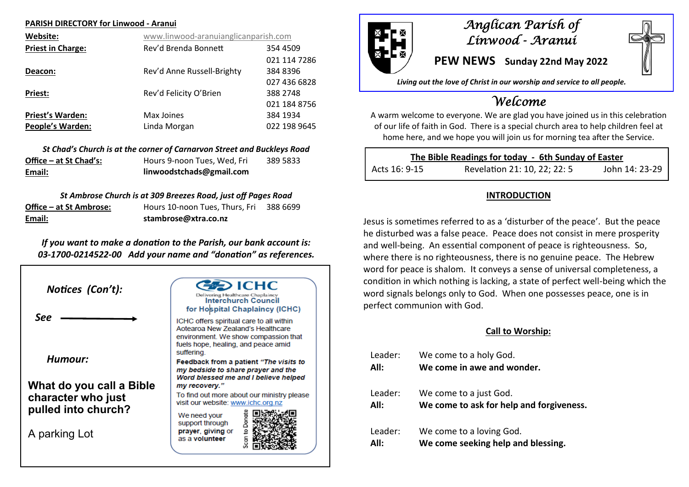#### **PARISH DIRECTORY for Linwood - Aranui**

| Website:                 | www.linwood-aranuianglicanparish.com |              |
|--------------------------|--------------------------------------|--------------|
| <b>Priest in Charge:</b> | Rev'd Brenda Bonnett                 | 354 4509     |
|                          |                                      | 021 114 7286 |
| Deacon:                  | Rev'd Anne Russell-Brighty           | 384 8396     |
|                          |                                      | 027 436 6828 |
| Priest:                  | Rev'd Felicity O'Brien               | 388 2748     |
|                          |                                      | 021 184 8756 |
| <b>Priest's Warden:</b>  | Max Joines                           | 384 1934     |
| <b>People's Warden:</b>  | Linda Morgan                         | 022 198 9645 |

*St Chad's Church is at the corner of Carnarvon Street and Buckleys Road* **Office – at St Chad's:** Hours 9-noon Tues, Wed, Fri 389 5833 **Email: linwoodstchads@gmail.com**

*St Ambrose Church is at 309 Breezes Road, just off Pages Road*

| Email:                  | stambrose@xtra.co.nz           |          |  |
|-------------------------|--------------------------------|----------|--|
| Office – at St Ambrose: | Hours 10-noon Tues, Thurs, Fri | 388 6699 |  |

*If you want to make a donation to the Parish, our bank account is: 03-1700-0214522-00 Add your name and "donation" as references.*





# *Anglican Parish of Linwood - Aranui*

**PEW NEWS Sunday 22nd May 2022**

*Living out the love of Christ in our worship and service to all people.*

# *Welcome*

A warm welcome to everyone. We are glad you have joined us in this celebration of our life of faith in God. There is a special church area to help children feel at home here, and we hope you will join us for morning tea after the Service.

| The Bible Readings for today - 6th Sunday of Easter |                              |                |  |  |
|-----------------------------------------------------|------------------------------|----------------|--|--|
| Acts 16: 9-15                                       | Revelation 21: 10, 22; 22: 5 | John 14: 23-29 |  |  |

### **INTRODUCTION**

Jesus is sometimes referred to as a 'disturber of the peace'. But the peace he disturbed was a false peace. Peace does not consist in mere prosperity and well-being. An essential component of peace is righteousness. So, where there is no righteousness, there is no genuine peace. The Hebrew word for peace is shalom. It conveys a sense of universal completeness, a condition in which nothing is lacking, a state of perfect well-being which the word signals belongs only to God. When one possesses peace, one is in perfect communion with God.

## **Call to Worship:**

Leader: We come to a holy God. **All: We come in awe and wonder.**  Leader: We come to a just God. **All: We come to ask for help and forgiveness.** Leader: We come to a loving God. **All: We come seeking help and blessing.**